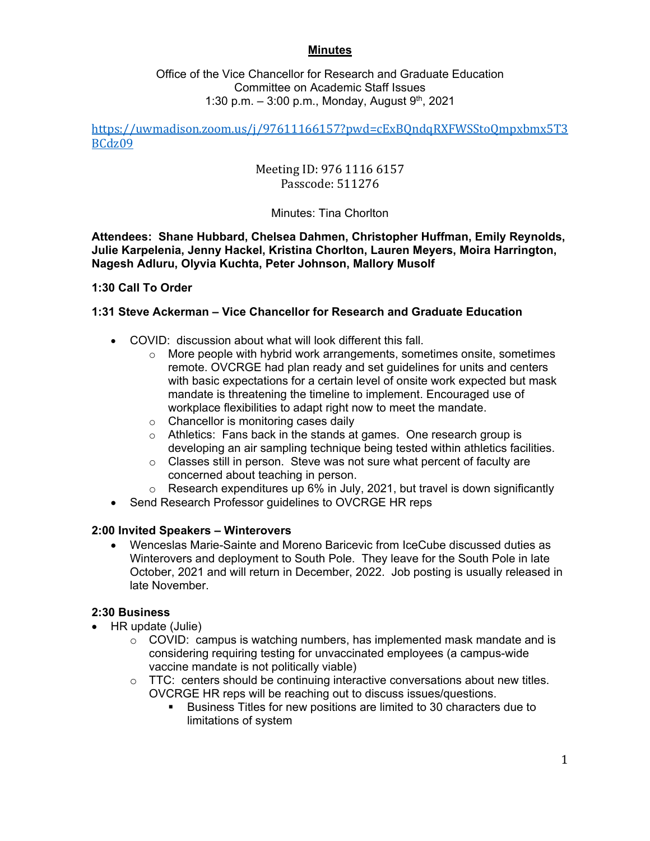### **Minutes**

### Office of the Vice Chancellor for Research and Graduate Education Committee on Academic Staff Issues 1:30 p.m.  $-3:00$  p.m., Monday, August 9<sup>th</sup>, 2021

### https://uwmadison.zoom.us/j/97611166157?pwd=cExBQndqRXFWSStoQmpxbmx5T3 BCdz09

# Meeting ID: 976 1116 6157 Passcode: 511276

## Minutes: Tina Chorlton

**Attendees: Shane Hubbard, Chelsea Dahmen, Christopher Huffman, Emily Reynolds, Julie Karpelenia, Jenny Hackel, Kristina Chorlton, Lauren Meyers, Moira Harrington, Nagesh Adluru, Olyvia Kuchta, Peter Johnson, Mallory Musolf** 

### **1:30 Call To Order**

### **1:31 Steve Ackerman – Vice Chancellor for Research and Graduate Education**

- COVID: discussion about what will look different this fall.
	- $\circ$  More people with hybrid work arrangements, sometimes onsite, sometimes remote. OVCRGE had plan ready and set guidelines for units and centers with basic expectations for a certain level of onsite work expected but mask mandate is threatening the timeline to implement. Encouraged use of workplace flexibilities to adapt right now to meet the mandate.
	- o Chancellor is monitoring cases daily
	- $\circ$  Athletics: Fans back in the stands at games. One research group is developing an air sampling technique being tested within athletics facilities.
	- o Classes still in person. Steve was not sure what percent of faculty are concerned about teaching in person.
	- $\circ$  Research expenditures up 6% in July, 2021, but travel is down significantly
- Send Research Professor guidelines to OVCRGE HR reps

### **2:00 Invited Speakers – Winterovers**

 Wenceslas Marie-Sainte and Moreno Baricevic from IceCube discussed duties as Winterovers and deployment to South Pole. They leave for the South Pole in late October, 2021 and will return in December, 2022. Job posting is usually released in late November.

#### **2:30 Business**

- HR update (Julie)
	- $\circ$  COVID: campus is watching numbers, has implemented mask mandate and is considering requiring testing for unvaccinated employees (a campus-wide vaccine mandate is not politically viable)
	- $\circ$  TTC: centers should be continuing interactive conversations about new titles. OVCRGE HR reps will be reaching out to discuss issues/questions.
		- Business Titles for new positions are limited to 30 characters due to limitations of system